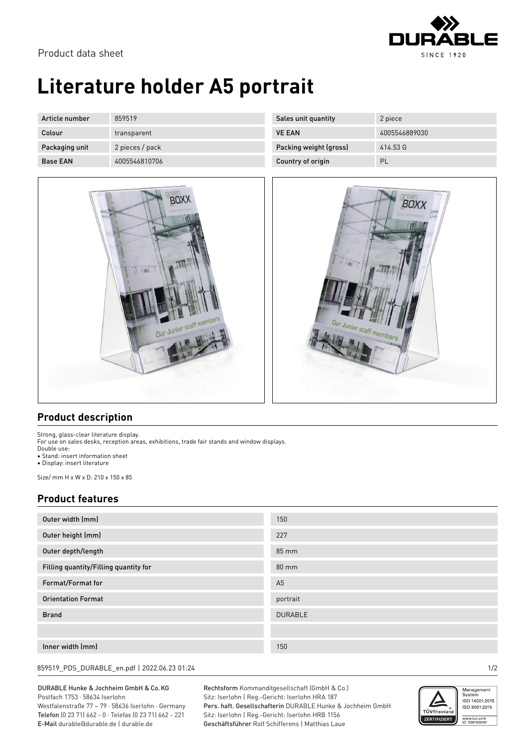

BOXX

embe

# **Literature holder A5 portrait**

| Article number  | 859519          | Sales unit quantity    | 2 piece       |
|-----------------|-----------------|------------------------|---------------|
| Colour          | transparent     | <b>VE EAN</b>          | 4005546889030 |
| Packaging unit  | 2 pieces / pack | Packing weight (gross) | 414.53 G      |
| <b>Base EAN</b> | 4005546810706   | Country of origin      | PL            |



### **Product description**

Strong, glass-clear literature display. For use on sales desks, reception areas, exhibitions, trade fair stands and window displays. Double use: • Stand: insert information sheet

• Display: insert literature

Size/ mm H x W x D: 210 x 150 x 85

### **Product features**

| Outer width (mm)<br>150<br>Outer height (mm)<br>227<br>Outer depth/length<br>85 mm<br>Filling quantity/Filling quantity for<br>$80 \text{ mm}$<br>Format/Format for<br>A <sub>5</sub><br><b>Orientation Format</b><br>portrait<br><b>Brand</b><br><b>DURABLE</b><br>Inner width (mm)<br>150 |  |
|---------------------------------------------------------------------------------------------------------------------------------------------------------------------------------------------------------------------------------------------------------------------------------------------|--|
|                                                                                                                                                                                                                                                                                             |  |
|                                                                                                                                                                                                                                                                                             |  |
|                                                                                                                                                                                                                                                                                             |  |
|                                                                                                                                                                                                                                                                                             |  |
|                                                                                                                                                                                                                                                                                             |  |
|                                                                                                                                                                                                                                                                                             |  |
|                                                                                                                                                                                                                                                                                             |  |
|                                                                                                                                                                                                                                                                                             |  |
|                                                                                                                                                                                                                                                                                             |  |

859519\_PDS\_DURABLE\_en.pdf | 2022.06.23 01:24 1/2

#### DURABLE Hunke & Jochheim GmbH & Co.KG Postfach 1753 · 58634 Iserlohn

Westfalenstraße 77 – 79 · 58636 Iserlohn · Germany Telefon (0 23 71) 662 - 0 · Telefax (0 23 71) 662 - 221 E-Mail durable@durable.de | durable.de

Rechtsform Kommanditgesellschaft (GmbH & Co.) Sitz: Iserlohn | Reg.-Gericht: Iserlohn HRA 187 Pers. haft. Gesellschafterin DURABLE Hunke & Jochheim GmbH Sitz: Iserlohn | Reg.-Gericht: Iserlohn HRB 1156 Geschäftsführer Rolf Schifferens | Matthias Laue